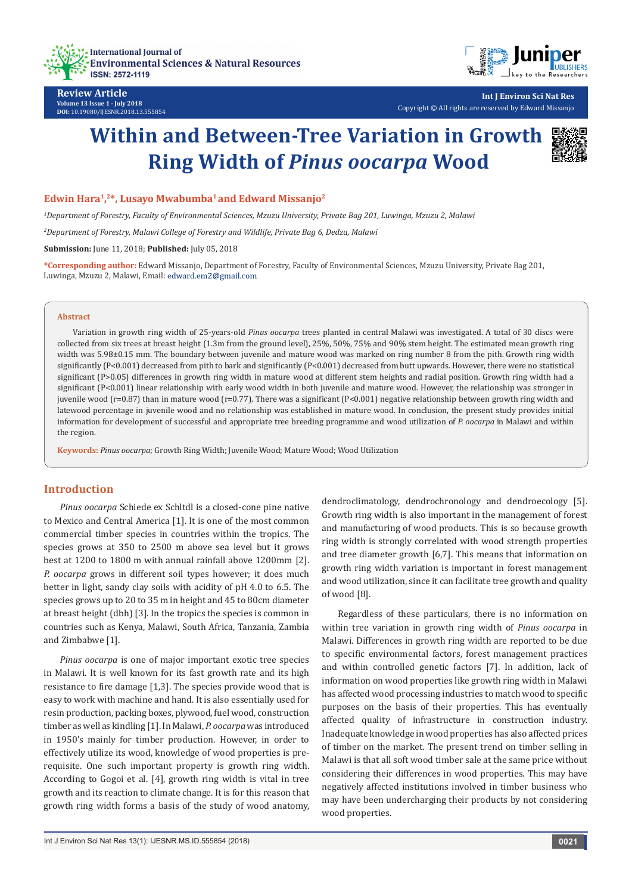



**Review Article Volume 13 Issue 1 - July 2018 DOI:** [10.19080/IJESNR.2018.13.555854](http://dx.doi.org/10.19080/IJESNR.2018.13.555854)

**Int J Environ Sci Nat Res** Copyright © All rights are reserved by Edward Missanjo

# **Within and Between-Tree Variation in Growth Ring Width of** *Pinus oocarpa* **Wood**



## Edwin Hara<sup>1</sup>,<sup>2\*</sup>, Lusayo Mwabumba<sup>1</sup> and Edward Missanjo<sup>2</sup>

*1 Department of Forestry, Faculty of Environmental Sciences, Mzuzu University, Private Bag 201, Luwinga, Mzuzu 2, Malawi*

*2 Department of Forestry, Malawi College of Forestry and Wildlife, Private Bag 6, Dedza, Malawi*

**Submission:** June 11, 2018; **Published:** July 05, 2018

**\*Corresponding author:** Edward Missanjo, Department of Forestry, Faculty of Environmental Sciences, Mzuzu University, Private Bag 201, Luwinga, Mzuzu 2, Malawi, Email: edward.em2@gmail.com

#### **Abstract**

Variation in growth ring width of 25-years-old *Pinus oocarpa* trees planted in central Malawi was investigated. A total of 30 discs were collected from six trees at breast height (1.3m from the ground level), 25%, 50%, 75% and 90% stem height. The estimated mean growth ring width was 5.98±0.15 mm. The boundary between juvenile and mature wood was marked on ring number 8 from the pith. Growth ring width significantly (P<0.001) decreased from pith to bark and significantly (P<0.001) decreased from butt upwards. However, there were no statistical significant (P>0.05) differences in growth ring width in mature wood at different stem heights and radial position. Growth ring width had a significant (P<0.001) linear relationship with early wood width in both juvenile and mature wood. However, the relationship was stronger in juvenile wood (r=0.87) than in mature wood (r=0.77). There was a significant (P<0.001) negative relationship between growth ring width and latewood percentage in juvenile wood and no relationship was established in mature wood. In conclusion, the present study provides initial information for development of successful and appropriate tree breeding programme and wood utilization of *P. oocarpa* in Malawi and within the region.

**Keywords:** *Pinus oocarpa*; Growth Ring Width; Juvenile Wood; Mature Wood; Wood Utilization

## **Introduction**

*Pinus oocarpa* Schiede ex Schltdl is a closed-cone pine native to Mexico and Central America [1]. It is one of the most common commercial timber species in countries within the tropics. The species grows at 350 to 2500 m above sea level but it grows best at 1200 to 1800 m with annual rainfall above 1200mm [2]. *P. oocarpa* grows in different soil types however; it does much better in light, sandy clay soils with acidity of pH 4.0 to 6.5. The species grows up to 20 to 35 m in height and 45 to 80cm diameter at breast height (dbh) [3]. In the tropics the species is common in countries such as Kenya, Malawi, South Africa, Tanzania, Zambia and Zimbabwe [1].

*Pinus oocarpa* is one of major important exotic tree species in Malawi. It is well known for its fast growth rate and its high resistance to fire damage [1,3]. The species provide wood that is easy to work with machine and hand. It is also essentially used for resin production, packing boxes, plywood, fuel wood, construction timber as well as kindling [1]. In Malawi, *P. oocarpa* was introduced in 1950's mainly for timber production. However, in order to effectively utilize its wood, knowledge of wood properties is prerequisite. One such important property is growth ring width. According to Gogoi et al. [4], growth ring width is vital in tree growth and its reaction to climate change. It is for this reason that growth ring width forms a basis of the study of wood anatomy,

dendroclimatology, dendrochronology and dendroecology [5]. Growth ring width is also important in the management of forest and manufacturing of wood products. This is so because growth ring width is strongly correlated with wood strength properties and tree diameter growth [6,7]. This means that information on growth ring width variation is important in forest management and wood utilization, since it can facilitate tree growth and quality of wood [8].

Regardless of these particulars, there is no information on within tree variation in growth ring width of *Pinus oocarpa* in Malawi. Differences in growth ring width are reported to be due to specific environmental factors, forest management practices and within controlled genetic factors [7]. In addition, lack of information on wood properties like growth ring width in Malawi has affected wood processing industries to match wood to specific purposes on the basis of their properties. This has eventually affected quality of infrastructure in construction industry. Inadequate knowledge in wood properties has also affected prices of timber on the market. The present trend on timber selling in Malawi is that all soft wood timber sale at the same price without considering their differences in wood properties. This may have negatively affected institutions involved in timber business who may have been undercharging their products by not considering wood properties.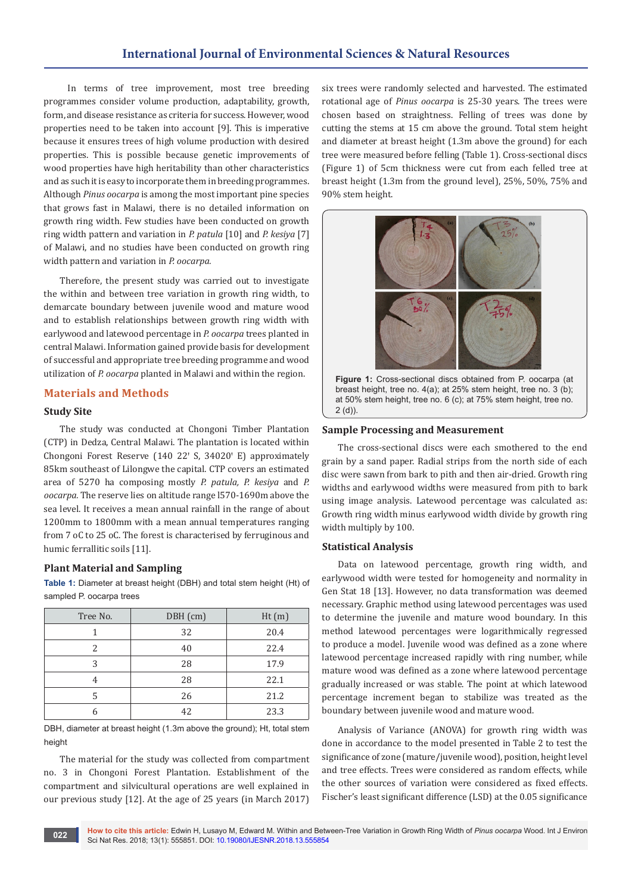# **International Journal of Environmental Sciences & Natural Resources**

 In terms of tree improvement, most tree breeding programmes consider volume production, adaptability, growth, form, and disease resistance as criteria for success. However, wood properties need to be taken into account [9]. This is imperative because it ensures trees of high volume production with desired properties. This is possible because genetic improvements of wood properties have high heritability than other characteristics and as such it is easy to incorporate them in breeding programmes. Although *Pinus oocarpa* is among the most important pine species that grows fast in Malawi, there is no detailed information on growth ring width. Few studies have been conducted on growth ring width pattern and variation in *P. patula* [10] and *P. kesiya* [7] of Malawi, and no studies have been conducted on growth ring width pattern and variation in *P. oocarpa.*

Therefore, the present study was carried out to investigate the within and between tree variation in growth ring width, to demarcate boundary between juvenile wood and mature wood and to establish relationships between growth ring width with earlywood and latewood percentage in *P. oocarpa* trees planted in central Malawi. Information gained provide basis for development of successful and appropriate tree breeding programme and wood utilization of *P. oocarpa* planted in Malawi and within the region.

## **Materials and Methods**

## **Study Site**

The study was conducted at Chongoni Timber Plantation (CTP) in Dedza, Central Malawi. The plantation is located within Chongoni Forest Reserve (140 22' S, 34020' E) approximately 85km southeast of Lilongwe the capital. CTP covers an estimated area of 5270 ha composing mostly *P. patula, P. kesiya* and *P. oocarpa.* The reserve lies on altitude range l570-1690m above the sea level. It receives a mean annual rainfall in the range of about 1200mm to 1800mm with a mean annual temperatures ranging from 7 oC to 25 oC. The forest is characterised by ferruginous and humic ferrallitic soils [11].

#### **Plant Material and Sampling**

**Table 1:** Diameter at breast height (DBH) and total stem height (Ht) of sampled P. oocarpa trees

| Tree No. | DBH (cm) | Ht(m) |
|----------|----------|-------|
|          | 32       | 20.4  |
| 2        | 40       | 22.4  |
| 3        | 28       | 17.9  |
| 4        | 28       | 22.1  |
| 5        | 26       | 21.2  |
| 6        | 42       | 23.3  |

DBH, diameter at breast height (1.3m above the ground); Ht, total stem height

The material for the study was collected from compartment no. 3 in Chongoni Forest Plantation. Establishment of the compartment and silvicultural operations are well explained in our previous study [12]. At the age of 25 years (in March 2017)

six trees were randomly selected and harvested. The estimated rotational age of *Pinus oocarpa* is 25-30 years. The trees were chosen based on straightness. Felling of trees was done by cutting the stems at 15 cm above the ground. Total stem height and diameter at breast height (1.3m above the ground) for each tree were measured before felling (Table 1). Cross-sectional discs (Figure 1) of 5cm thickness were cut from each felled tree at breast height (1.3m from the ground level), 25%, 50%, 75% and 90% stem height.



**Figure 1:** Cross-sectional discs obtained from P. oocarpa (at breast height, tree no. 4(a); at 25% stem height, tree no. 3 (b); at 50% stem height, tree no. 6 (c); at 75% stem height, tree no. 2 (d)).

#### **Sample Processing and Measurement**

The cross-sectional discs were each smothered to the end grain by a sand paper. Radial strips from the north side of each disc were sawn from bark to pith and then air-dried. Growth ring widths and earlywood widths were measured from pith to bark using image analysis. Latewood percentage was calculated as: Growth ring width minus earlywood width divide by growth ring width multiply by 100.

#### **Statistical Analysis**

Data on latewood percentage, growth ring width, and earlywood width were tested for homogeneity and normality in Gen Stat 18 [13]. However, no data transformation was deemed necessary. Graphic method using latewood percentages was used to determine the juvenile and mature wood boundary. In this method latewood percentages were logarithmically regressed to produce a model. Juvenile wood was defined as a zone where latewood percentage increased rapidly with ring number, while mature wood was defined as a zone where latewood percentage gradually increased or was stable. The point at which latewood percentage increment began to stabilize was treated as the boundary between juvenile wood and mature wood.

Analysis of Variance (ANOVA) for growth ring width was done in accordance to the model presented in Table 2 to test the significance of zone (mature/juvenile wood), position, height level and tree effects. Trees were considered as random effects, while the other sources of variation were considered as fixed effects. Fischer's least significant difference (LSD) at the 0.05 significance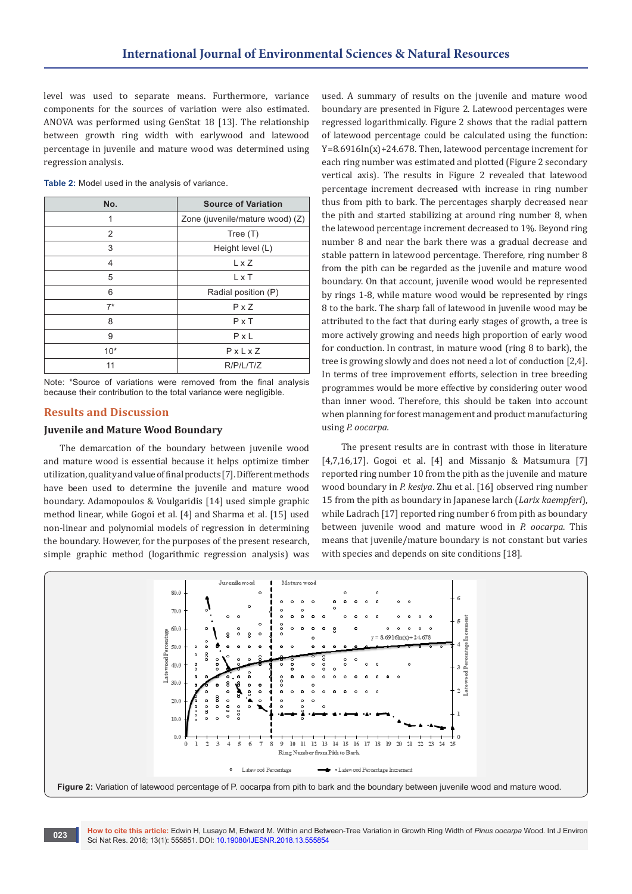level was used to separate means. Furthermore, variance components for the sources of variation were also estimated. ANOVA was performed using GenStat 18 [13]. The relationship between growth ring width with earlywood and latewood percentage in juvenile and mature wood was determined using regression analysis.

| No.   | <b>Source of Variation</b>      |  |
|-------|---------------------------------|--|
| 1     | Zone (juvenile/mature wood) (Z) |  |
| 2     | Tree $(T)$                      |  |
| 3     | Height level (L)                |  |
| 4     | L x Z                           |  |
| 5     | L x T                           |  |
| 6     | Radial position (P)             |  |
| $7*$  | $P \times Z$                    |  |
| 8     | $P \times T$                    |  |
| 9     | $P \times L$                    |  |
| $10*$ | $P \times L \times Z$           |  |
| 11    | R/P/L/T/Z                       |  |

**Table 2:** Model used in the analysis of variance.

Note: \*Source of variations were removed from the final analysis because their contribution to the total variance were negligible.

## **Results and Discussion**

#### **Juvenile and Mature Wood Boundary**

The demarcation of the boundary between juvenile wood and mature wood is essential because it helps optimize timber utilization, quality and value of final products [7]. Different methods have been used to determine the juvenile and mature wood boundary. Adamopoulos & Voulgaridis [14] used simple graphic method linear, while Gogoi et al. [4] and Sharma et al. [15] used non-linear and polynomial models of regression in determining the boundary. However, for the purposes of the present research, simple graphic method (logarithmic regression analysis) was

used. A summary of results on the juvenile and mature wood boundary are presented in Figure 2. Latewood percentages were regressed logarithmically. Figure 2 shows that the radial pattern of latewood percentage could be calculated using the function: Y=8.6916ln(x)+24.678. Then, latewood percentage increment for each ring number was estimated and plotted (Figure 2 secondary vertical axis). The results in Figure 2 revealed that latewood percentage increment decreased with increase in ring number thus from pith to bark. The percentages sharply decreased near the pith and started stabilizing at around ring number 8, when the latewood percentage increment decreased to 1%. Beyond ring number 8 and near the bark there was a gradual decrease and stable pattern in latewood percentage. Therefore, ring number 8 from the pith can be regarded as the juvenile and mature wood boundary. On that account, juvenile wood would be represented by rings 1-8, while mature wood would be represented by rings 8 to the bark. The sharp fall of latewood in juvenile wood may be attributed to the fact that during early stages of growth, a tree is more actively growing and needs high proportion of early wood for conduction. In contrast, in mature wood (ring 8 to bark), the tree is growing slowly and does not need a lot of conduction [2,4]. In terms of tree improvement efforts, selection in tree breeding programmes would be more effective by considering outer wood than inner wood. Therefore, this should be taken into account when planning for forest management and product manufacturing using *P. oocarpa.*

 The present results are in contrast with those in literature [4,7,16,17]. Gogoi et al. [4] and Missanjo & Matsumura [7] reported ring number 10 from the pith as the juvenile and mature wood boundary in *P. kesiya*. Zhu et al. [16] observed ring number 15 from the pith as boundary in Japanese larch (*Larix kaempferi*), while Ladrach [17] reported ring number 6 from pith as boundary between juvenile wood and mature wood in *P. oocarpa*. This means that juvenile/mature boundary is not constant but varies with species and depends on site conditions [18].



**How to cite this article:** Edwin H, Lusayo M, Edward M. Within and Between-Tree Variation in Growth Ring Width of *Pinus oocarpa* Wood. Int J Environ **O23 Reserve to the trips article:** Edwin H, Lusayo M, Edward M. Willim and Between Sci Nat Res. 2018; 13(1): 555851. DOI: [10.19080/IJESNR.2018.13.555854](http://dx.doi.org/10.19080/IJESNR.2018.13.555854)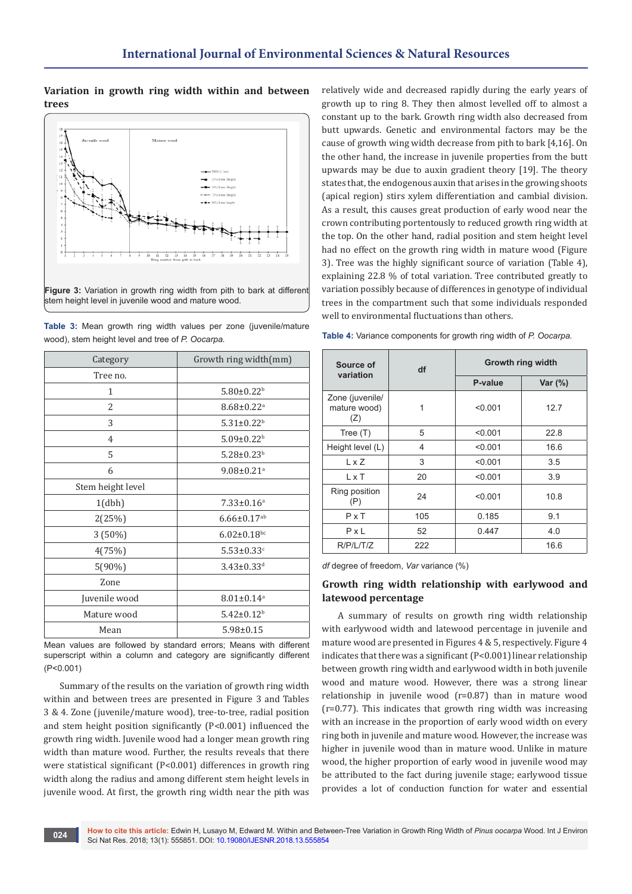## **Variation in growth ring width within and between trees**



stem height level in juvenile wood and mature wood.

| Category          | Growth ring width(mm)         |  |
|-------------------|-------------------------------|--|
| Tree no.          |                               |  |
| 1                 | $5.80 \pm 0.22$ <sup>b</sup>  |  |
| 2                 | $8.68 \pm 0.22$ <sup>a</sup>  |  |
| 3                 | $5.31 \pm 0.22$ <sup>b</sup>  |  |
| $\overline{4}$    | $5.09 \pm 0.22$ <sup>b</sup>  |  |
| 5                 | $5.28 \pm 0.23$ <sup>b</sup>  |  |
| 6                 | $9.08 \pm 0.21$ <sup>a</sup>  |  |
| Stem height level |                               |  |
| 1(dbh)            | $7.33 \pm 0.16^a$             |  |
| 2(25%)            | $6.66 \pm 0.17$ <sup>ab</sup> |  |
| 3 (50%)           | $6.02 \pm 0.18$ bc            |  |
| 4(75%)            | $5.53 \pm 0.33$ <sup>c</sup>  |  |
| $5(90\%)$         | $3.43 \pm 0.33$ <sup>d</sup>  |  |
| Zone              |                               |  |
| Juvenile wood     | $8.01 \pm 0.14$ <sup>a</sup>  |  |
| Mature wood       | $5.42 \pm 0.12^b$             |  |
| Mean              | $5.98 \pm 0.15$               |  |

**Table 3:** Mean growth ring width values per zone (juvenile/mature wood), stem height level and tree of *P. Oocarpa.*

Mean values are followed by standard errors; Means with different superscript within a column and category are significantly different (P<0.001)

Summary of the results on the variation of growth ring width within and between trees are presented in Figure 3 and Tables 3 & 4. Zone (juvenile/mature wood), tree-to-tree, radial position and stem height position significantly (P<0.001) influenced the growth ring width. Juvenile wood had a longer mean growth ring width than mature wood. Further, the results reveals that there were statistical significant (P<0.001) differences in growth ring width along the radius and among different stem height levels in juvenile wood. At first, the growth ring width near the pith was

relatively wide and decreased rapidly during the early years of growth up to ring 8. They then almost levelled off to almost a constant up to the bark. Growth ring width also decreased from butt upwards. Genetic and environmental factors may be the cause of growth wing width decrease from pith to bark [4,16]. On the other hand, the increase in juvenile properties from the butt upwards may be due to auxin gradient theory [19]. The theory states that, the endogenous auxin that arises in the growing shoots (apical region) stirs xylem differentiation and cambial division. As a result, this causes great production of early wood near the crown contributing portentously to reduced growth ring width at the top. On the other hand, radial position and stem height level had no effect on the growth ring width in mature wood (Figure 3). Tree was the highly significant source of variation (Table 4), explaining 22.8 % of total variation. Tree contributed greatly to variation possibly because of differences in genotype of individual trees in the compartment such that some individuals responded well to environmental fluctuations than others.

| Source of<br>variation                 | df  | Growth ring width |           |
|----------------------------------------|-----|-------------------|-----------|
|                                        |     | P-value           | Var $(%)$ |
| Zone (juvenile/<br>mature wood)<br>(Z) | 1   | < 0.001           | 12.7      |
| Tree $(T)$                             | 5   | < 0.001           | 22.8      |
| Height level (L)                       | 4   | < 0.001           | 16.6      |
| L x Z                                  | 3   | < 0.001           | 3.5       |
| L x T                                  | 20  | < 0.001           | 3.9       |
| Ring position<br>(P)                   | 24  | < 0.001           | 10.8      |
| $P \times T$                           | 105 | 0.185             | 9.1       |
| P x L                                  | 52  | 0.447             | 4.0       |
| R/P/L/T/Z                              | 222 |                   | 16.6      |

**Table 4:** Variance components for growth ring width of *P. Oocarpa.*

*df* degree of freedom, *Var* variance (%)

## **Growth ring width relationship with earlywood and latewood percentage**

A summary of results on growth ring width relationship with earlywood width and latewood percentage in juvenile and mature wood are presented in Figures 4 & 5, respectively. Figure 4 indicates that there was a significant (P<0.001) linear relationship between growth ring width and earlywood width in both juvenile wood and mature wood. However, there was a strong linear relationship in juvenile wood (r=0.87) than in mature wood (r=0.77). This indicates that growth ring width was increasing with an increase in the proportion of early wood width on every ring both in juvenile and mature wood. However, the increase was higher in juvenile wood than in mature wood. Unlike in mature wood, the higher proportion of early wood in juvenile wood may be attributed to the fact during juvenile stage; earlywood tissue provides a lot of conduction function for water and essential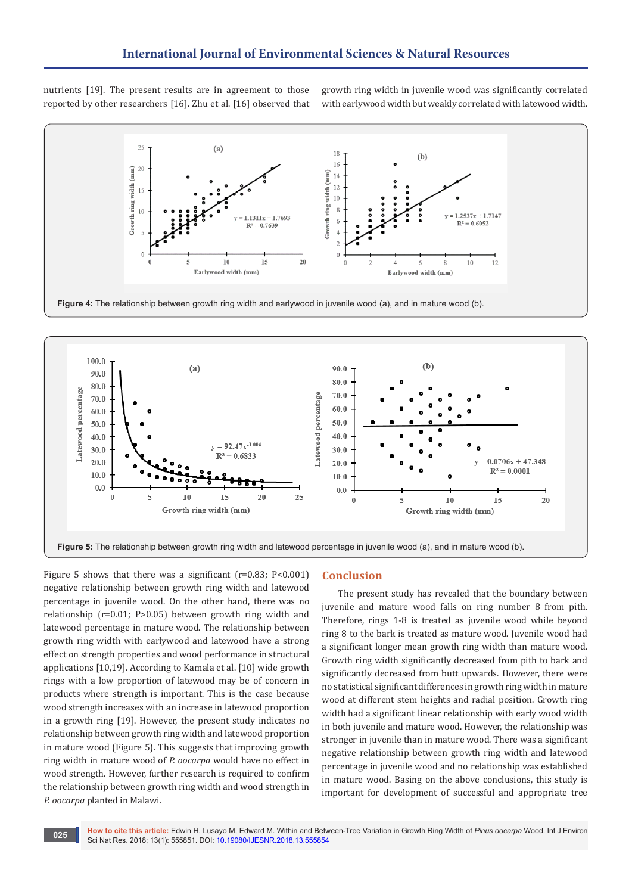nutrients [19]. The present results are in agreement to those reported by other researchers [16]. Zhu et al. [16] observed that growth ring width in juvenile wood was significantly correlated with earlywood width but weakly correlated with latewood width.



**Figure 4:** The relationship between growth ring width and earlywood in juvenile wood (a), and in mature wood (b).



Figure 5 shows that there was a significant ( $r=0.83$ ;  $P<0.001$ ) negative relationship between growth ring width and latewood percentage in juvenile wood. On the other hand, there was no relationship (r=0.01; P>0.05) between growth ring width and latewood percentage in mature wood. The relationship between growth ring width with earlywood and latewood have a strong effect on strength properties and wood performance in structural applications [10,19]. According to Kamala et al. [10] wide growth rings with a low proportion of latewood may be of concern in products where strength is important. This is the case because wood strength increases with an increase in latewood proportion in a growth ring [19]. However, the present study indicates no relationship between growth ring width and latewood proportion in mature wood (Figure 5). This suggests that improving growth ring width in mature wood of *P. oocarpa* would have no effect in wood strength. However, further research is required to confirm the relationship between growth ring width and wood strength in *P. oocarpa* planted in Malawi.

#### **Conclusion**

The present study has revealed that the boundary between juvenile and mature wood falls on ring number 8 from pith. Therefore, rings 1-8 is treated as juvenile wood while beyond ring 8 to the bark is treated as mature wood. Juvenile wood had a significant longer mean growth ring width than mature wood. Growth ring width significantly decreased from pith to bark and significantly decreased from butt upwards. However, there were no statistical significant differences in growth ring width in mature wood at different stem heights and radial position. Growth ring width had a significant linear relationship with early wood width in both juvenile and mature wood. However, the relationship was stronger in juvenile than in mature wood. There was a significant negative relationship between growth ring width and latewood percentage in juvenile wood and no relationship was established in mature wood. Basing on the above conclusions, this study is important for development of successful and appropriate tree